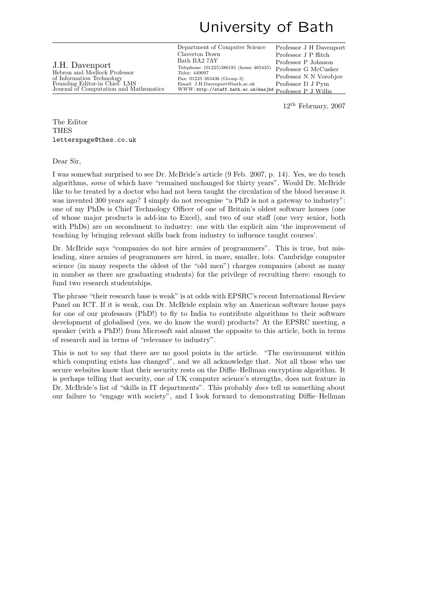## University of Bath

Department of Computer Science Claverton Down Bath BA2 7AY Telephone: (01225)386181 (home 465435) Telex: 449097 Fax: 01225 383436 (Group 3) Email: J.H.Davenport@bath.ac.uk WWW: http://staff.bath.ac.uk/masjhd Professor P J Willis Professor J H Davenport Professor J P ffitch Professor P Johnson Professor G McCusker Professor N N Vorobjov Professor D J Pym

12th February, 2007

The Editor THES letterspage@thes.co.uk

J.H. Davenport

Hebron and Medlock Professor of Information Technology Founding Editor-in Chief: LMS

Journal of Computation and Mathematics

Dear Sir,

I was somewhat surprised to see Dr. McBride's article (9 Feb. 2007, p. 14). Yes, we do teach algorithms, some of which have "remained unchanged for thirty years". Would Dr. McBride like to be treated by a doctor who had not been taught the circulation of the blood because it was invented 300 years ago? I simply do not recognise "a PhD is not a gateway to industry": one of my PhDs is Chief Technology Officer of one of Britain's oldest software houses (one of whose major products is add-ins to Excel), and two of our staff (one very senior, both with PhDs) are on secondment to industry: one with the explicit aim 'the improvement of teaching by bringing relevant skills back from industry to influence taught courses'.

Dr. McBride says "companies do not hire armies of programmers". This is true, but misleading, since armies of programmers are hired, in more, smaller, lots. Cambridge computer science (in many respects the oldest of the "old men") charges companies (about as many in number as there are graduating students) for the privilege of recruiting there: enough to fund two research studentships.

The phrase "their research base is weak" is at odds with EPSRC's recent International Review Panel on ICT. If it is weak, can Dr. McBride explain why an American software house pays for one of our professors (PhD!) to fly to India to contribute algorithms to their software development of globalised (yes, we do know the word) products? At the EPSRC meeting, a speaker (with a PhD!) from Microsoft said almost the opposite to this article, both in terms of research and in terms of "relevance to industry".

This is not to say that there are no good points in the article. "The environment within which computing exists has changed", and we all acknowledge that. Not all those who use secure websites know that their security rests on the Diffie–Hellman encryption algorithm. It is perhaps telling that security, one of UK computer science's strengths, does not feature in Dr. McBride's list of "skills in IT departments". This probably *does* tell us something about our failure to "engage with society", and I look forward to demonstrating Diffie–Hellman